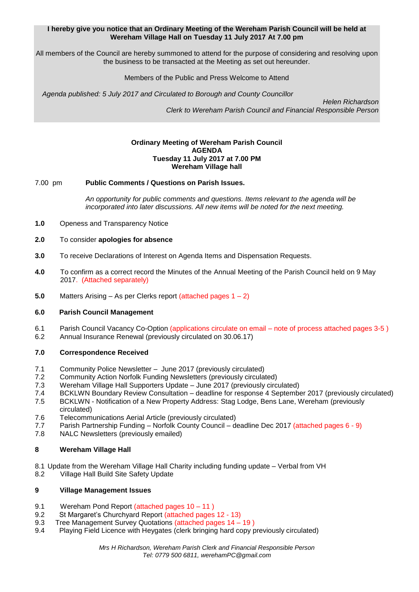### **I hereby give you notice that an Ordinary Meeting of the Wereham Parish Council will be held at Wereham Village Hall on Tuesday 11 July 2017 At 7.00 pm**

All members of the Council are hereby summoned to attend for the purpose of considering and resolving upon the business to be transacted at the Meeting as set out hereunder.

### Members of the Public and Press Welcome to Attend

*Agenda published: 5 July 2017 and Circulated to Borough and County Councillor* 

 *Helen Richardson Clerk to Wereham Parish Council and Financial Responsible Person*

#### **Ordinary Meeting of Wereham Parish Council AGENDA Tuesday 11 July 2017 at 7.00 PM Wereham Village hall**

### 7.00 pm **Public Comments / Questions on Parish Issues.**

*An opportunity for public comments and questions. Items relevant to the agenda will be incorporated into later discussions. All new items will be noted for the next meeting.*

- **1.0** Openess and Transparency Notice
- **2.0** To consider **apologies for absence**
- **3.0** To receive Declarations of Interest on Agenda Items and Dispensation Requests.
- **4.0** To confirm as a correct record the Minutes of the Annual Meeting of the Parish Council held on 9 May 2017. (Attached separately)
- **5.0** Matters Arising As per Clerks report (attached pages 1 2)

# **6.0 Parish Council Management**

- 6.1 Parish Council Vacancy Co-Option (applications circulate on email note of process attached pages 3-5 )
- 6.2 Annual Insurance Renewal (previously circulated on 30.06.17)

# **7.0 Correspondence Received**

- 7.1 Community Police Newsletter June 2017 (previously circulated)
- 7.2 Community Action Norfolk Funding Newsletters (previously circulated)
- 7.3 Wereham Village Hall Supporters Update June 2017 (previously circulated)
- 7.4 BCKLWN Boundary Review Consultation deadline for response 4 September 2017 (previously circulated)
- 7.5 BCKLWN Notification of a New Property Address: Stag Lodge, Bens Lane, Wereham (previously circulated)
- 7.6 Telecommunications Aerial Article (previously circulated)
- 7.7 Parish Partnership Funding Norfolk County Council deadline Dec 2017 (attached pages 6 9)
- 7.8 NALC Newsletters (previously emailed)

# **8 Wereham Village Hall**

- 8.1 Update from the Wereham Village Hall Charity including funding update Verbal from VH
- 8.2 Village Hall Build Site Safety Update

#### **9 Village Management Issues**

- 9.1 Wereham Pond Report (attached pages 10 11)
- 9.2 St Margaret's Churchyard Report (attached pages 12 13)
- 9.3 Tree Management Survey Quotations (attached pages 14 19 )
- 9.4 Playing Field Licence with Heygates (clerk bringing hard copy previously circulated)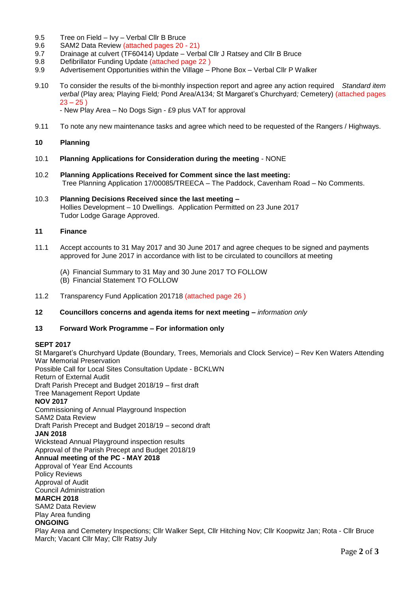- 9.5 Tree on Field Ivy Verbal Cllr B Bruce
- 9.6 SAM2 Data Review (attached pages 20 21)
- 9.7 Drainage at culvert (TF60414) Update Verbal Cllr J Ratsey and Cllr B Bruce
- 9.8 Defibrillator Funding Update (attached page 22 )
- 9.9 Advertisement Opportunities within the Village Phone Box Verbal Cllr P Walker
- 9.10 To consider the results of the bi-monthly inspection report and agree any action required *Standard item verbal* (Play area*;* Playing Field*;* Pond Area/A134*;* St Margaret's Churchyard*;* Cemetery) (attached pages  $23 - 25$ )

- New Play Area – No Dogs Sign - £9 plus VAT for approval

9.11 To note any new maintenance tasks and agree which need to be requested of the Rangers / Highways.

# **10 Planning**

- 10.1 **Planning Applications for Consideration during the meeting** NONE
- 10.2 **Planning Applications Received for Comment since the last meeting:** Tree Planning Application 17/00085/TREECA – The Paddock, Cavenham Road – No Comments.
- 10.3 **Planning Decisions Received since the last meeting –** Hollies Development – 10 Dwellings. Application Permitted on 23 June 2017 Tudor Lodge Garage Approved.

### **11 Finance**

- 11.1 Accept accounts to 31 May 2017 and 30 June 2017 and agree cheques to be signed and payments approved for June 2017 in accordance with list to be circulated to councillors at meeting
	- (A) Financial Summary to 31 May and 30 June 2017 TO FOLLOW
	- (B) Financial Statement TO FOLLOW
- 11.2 Transparency Fund Application 201718 (attached page 26 )
- **12 Councillors concerns and agenda items for next meeting –** *information only*

# **13 Forward Work Programme – For information only**

#### **SEPT 2017**

St Margaret's Churchyard Update (Boundary, Trees, Memorials and Clock Service) – Rev Ken Waters Attending War Memorial Preservation Possible Call for Local Sites Consultation Update - BCKLWN Return of External Audit Draft Parish Precept and Budget 2018/19 – first draft Tree Management Report Update **NOV 2017** Commissioning of Annual Playground Inspection SAM2 Data Review Draft Parish Precept and Budget 2018/19 – second draft **JAN 2018** Wickstead Annual Playground inspection results Approval of the Parish Precept and Budget 2018/19 **Annual meeting of the PC - MAY 2018** Approval of Year End Accounts Policy Reviews Approval of Audit Council Administration **MARCH 2018** SAM2 Data Review Play Area funding

#### **ONGOING**

Play Area and Cemetery Inspections; Cllr Walker Sept, Cllr Hitching Nov; Cllr Koopwitz Jan; Rota - Cllr Bruce March; Vacant Cllr May; Cllr Ratsy July